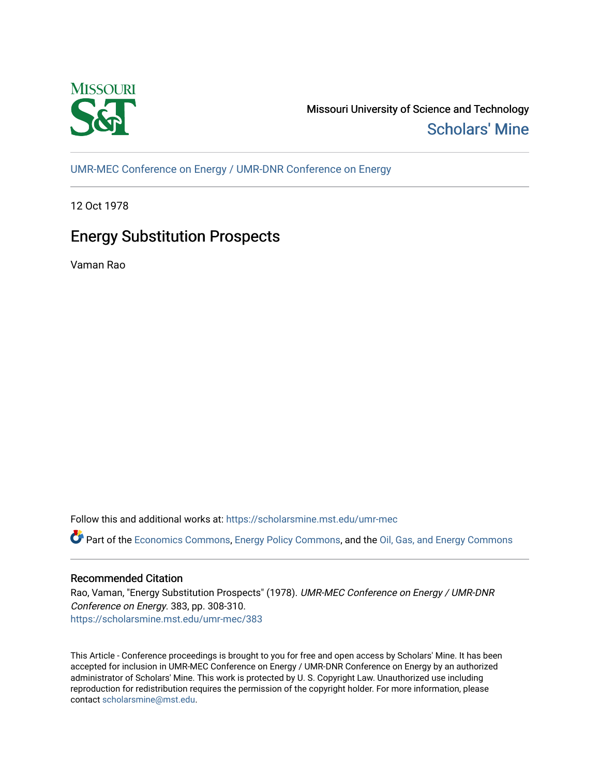

Missouri University of Science and Technology [Scholars' Mine](https://scholarsmine.mst.edu/) 

[UMR-MEC Conference on Energy / UMR-DNR Conference on Energy](https://scholarsmine.mst.edu/umr-mec)

12 Oct 1978

# Energy Substitution Prospects

Vaman Rao

Follow this and additional works at: [https://scholarsmine.mst.edu/umr-mec](https://scholarsmine.mst.edu/umr-mec?utm_source=scholarsmine.mst.edu%2Fumr-mec%2F383&utm_medium=PDF&utm_campaign=PDFCoverPages) 

Part of the [Economics Commons](http://network.bepress.com/hgg/discipline/340?utm_source=scholarsmine.mst.edu%2Fumr-mec%2F383&utm_medium=PDF&utm_campaign=PDFCoverPages), [Energy Policy Commons,](http://network.bepress.com/hgg/discipline/1065?utm_source=scholarsmine.mst.edu%2Fumr-mec%2F383&utm_medium=PDF&utm_campaign=PDFCoverPages) and the [Oil, Gas, and Energy Commons](http://network.bepress.com/hgg/discipline/171?utm_source=scholarsmine.mst.edu%2Fumr-mec%2F383&utm_medium=PDF&utm_campaign=PDFCoverPages)

## Recommended Citation

Rao, Vaman, "Energy Substitution Prospects" (1978). UMR-MEC Conference on Energy / UMR-DNR Conference on Energy. 383, pp. 308-310. [https://scholarsmine.mst.edu/umr-mec/383](https://scholarsmine.mst.edu/umr-mec/383?utm_source=scholarsmine.mst.edu%2Fumr-mec%2F383&utm_medium=PDF&utm_campaign=PDFCoverPages) 

This Article - Conference proceedings is brought to you for free and open access by Scholars' Mine. It has been accepted for inclusion in UMR-MEC Conference on Energy / UMR-DNR Conference on Energy by an authorized administrator of Scholars' Mine. This work is protected by U. S. Copyright Law. Unauthorized use including reproduction for redistribution requires the permission of the copyright holder. For more information, please contact [scholarsmine@mst.edu](mailto:scholarsmine@mst.edu).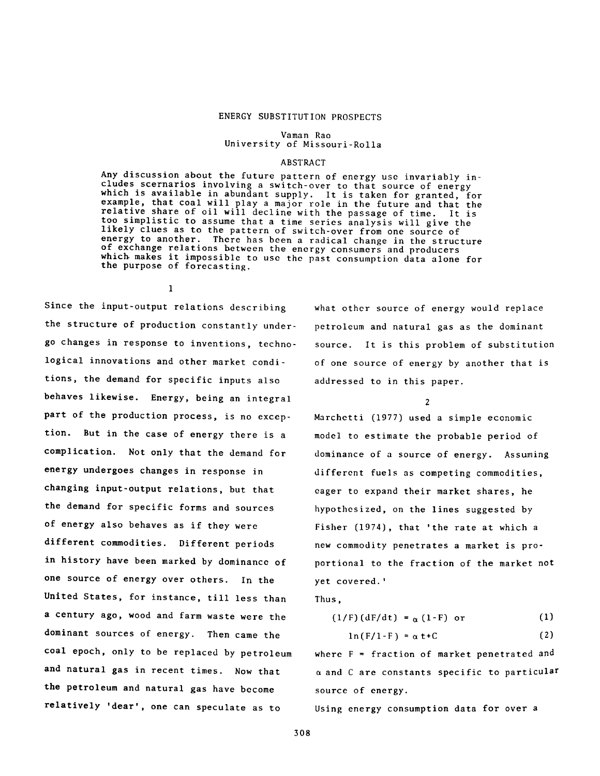#### ENERGY SUBSTITUTION PROSPECTS

### Vaman Rao University of Missouri-Rolla

#### ABSTRACT

Any discussion about the future pattern of energy use invariably includes scernarios involving a switch-over to that source of energy which is available in abundant supply. It is taken for granted, for example, that coal will play a major role in the future and that the relative share of oil will decline with the passage of time. It is too simplistic to assume that a time series analysis will give the likely clues as to the pattern of switch-over from one source of energy to another. There has been a radical change in the structure of exchange relations between the energy consumers and producers which makes it impossible to use the past consumption data alone for the purpose of forecasting.

Since the input-output relations describing the structure of production constantly undergo changes in response to inventions, technological innovations and other market conditions, the demand for specific inputs also behaves likewise. Energy, being an integral part of the production process, is no exception. But in the case of energy there is a complication. Not only that the demand for energy undergoes changes in response in changing input-output relations, but that the demand for specific forms and sources of energy also behaves as if they were different commodities. Different periods in history have been marked by dominance of one source of energy over others. In the United States, for instance, till less than a century ago, wood and farm waste were the dominant sources of energy. Then came the coal epoch, only to be replaced by petroleum and natural gas in recent times. Now that the petroleum and natural gas have become relatively 'dear', one can speculate as to

1

what other source of energy would replace petroleum and natural gas as the dominant source. It is this problem of substitution of one source of energy by another that is addressed to in this paper.

 $\overline{2}$ 

Marchctti (1977) used a simple economic model to estimate the probable period of dominance of a source of energy. Assuming different fuels as competing commodities, eager to expand their market shares, he hypothesized, on the lines suggested by Fisher (1974), that 'the rate at which a new commodity penetrates a market is proportional to the fraction of the market not yet covered.'

Thus,

$$
(1/F)(dF/dt) = \alpha (1-F) or
$$
 (1)

$$
\ln(F/I - F) = \alpha t + C \tag{2}
$$

where  $F =$  fraction of market penetrated and *a* and C are constants specific to particular source of energy.

Using energy consumption data for over a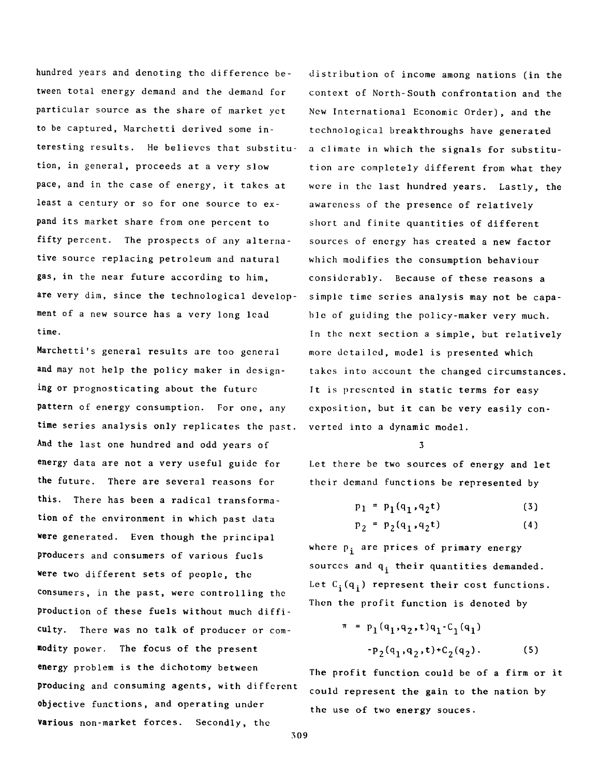hundred years and denoting the difference between total energy demand and the demand for particular source as the share of market yet to be captured, Marchetti derived some interesting results. He believes that substitution, in general, proceeds at a very slow pace, and in the case of energy, it takes at least a century or so for one source to expand its market share from one percent to fifty percent. The prospects of any alternative source replacing petroleum and natural gas, in the near future according to him, are very dim, since the technological development of a new source has a very long lead time.

Marchetti's general results are too general and may not help the policy maker in designing or prognosticating about the future pattern of energy consumption. For one, any time series analysis only replicates the past. And the last one hundred and odd years of energy data are not a very useful guide for the future. There are several reasons for this. There has been a radical transformation of the environment in which past data were generated. Even though the principal producers and consumers of various fuels were two different sets of people, the consumers, in the past, were controlling the production of these fuels without much difficulty. There was no talk of producer or commodity power. The focus of the present energy problem is the dichotomy between producing and consuming agents, with different objective functions, and operating under various non-market forces. Secondly, the

distribution of income among nations (in the context of North-South confrontation and the New International Economic Order), and the technological breakthroughs have generated a climate in which the signals for substitution are completely different from what they were in the last hundred years. Lastly, the awareness of the presence of relatively short and finite quantities of different sources of energy has created a new factor which modifies the consumption behaviour considerably. Because of these reasons a simple time series analysis may not be capable of guiding the policy-maker very much. In the next section a simple, but relatively more detailed, model is presented which takes into account the changed circumstances. It is presented in static terms for easy exposition, but it can be very easily converted into a dynamic model.

3

Let there be two sources of energy and let their demand functions be represented by

$$
p_1 = p_1(q_1, q_2 t) \tag{3}
$$

$$
p_2 = p_2(q_1, q_2 t) \tag{4}
$$

where  $p_i$  are prices of primary energy sources and  $q_i$  their quantities demanded. Let  $C_i(q_i)$  represent their cost functions. Then the profit function is denoted by

$$
\pi = p_1(q_1, q_2, t)q_1 - C_1(q_1)
$$
  
-p<sub>2</sub>(q<sub>1</sub>, q<sub>2</sub>, t) + C<sub>2</sub>(q<sub>2</sub>). (5)

The profit function could be of a firm or it could represent the gain to the nation by the use of two energy souces.

309